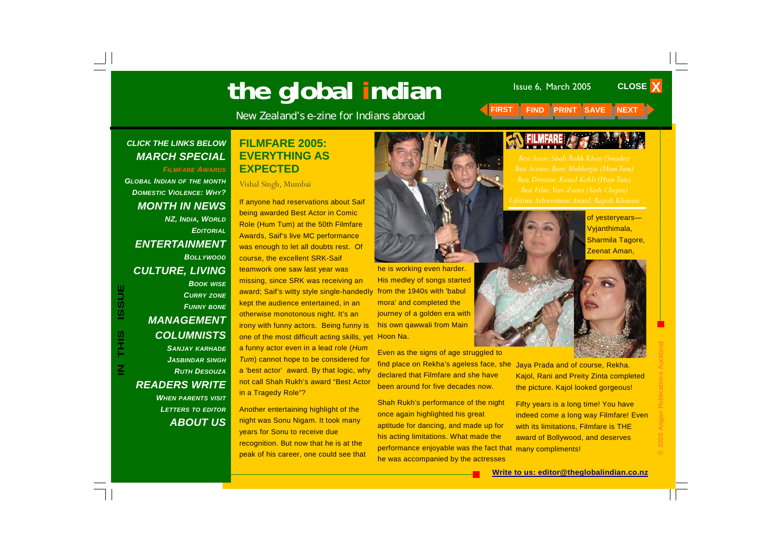# **The global indian** Issue 6, March 2005

New Zealand's e-zine for Indians abroad **FIRST FIND PRINT SAVE NEXT** 

#### <span id="page-0-0"></span>*CLICK THE LINKS BELOW MARCH SPECIAL*

*FILMFARE AWARDS*

*[GLOBAL INDIAN](#page-1-0) OF THE MONTH [DOMESTIC VIOLENCE: WHY?](#page-3-0) [MONTH IN NEWS](#page-4-0)  NZ, INDIA, WORLD [EDITORIAL](#page-5-0)[ENTERTAINMENT](#page-6-0) BOLLYWOOD[CULTURE, LIVING](#page-7-0)  BOOK WISE [CURRY](#page-8-0) ZONE [FUNNY](#page-9-0) BONE [MANAGEMENT](#page-10-0)  [COLUMNISTS](#page-11-0)  SANJAY KARHADE*

*[JASBINDAR](#page-12-0) SINGH [RUTH DESOUZA](#page-13-0)[READERS WRITE](#page-14-0)* 

*WHEN PARENTS VISIT [LETTERS](#page-15-0) TO EDITOR [ABOUT US](#page-16-0)*

#### **FILMFARE 2005: EVERYTHING AS EXPECTED**

Vishal Singh, Mumbai

If anyone had reservations about Saif being awarded Best Actor in Comic Role (Hum Tum) at the 50th Filmfare Awards, Saif's live MC performance was enough to let all doubts rest. Of course, the excellent SRK-Saif

teamwork one saw last year was missing, since SRK was receiving an award; Saif's witty style single-handedly kept the audience entertained, in an otherwise monotonous night. It's an irony with funny actors. Being funny is one of the most difficult acting skills, yet a funny actor even in a lead role (*Hum Tum*) cannot hope to be considered for <sup>a</sup>'best actor' award. By that logic, why not call Shah Rukh's award "Best Actor in a Tragedy Role"?

Another entertaining highlight of the night was Sonu Nigam. It took many years for Sonu to receive due recognition. But now that he is at the peak of his career, one could see that



he is working even harder. His medley of songs started from the 1940s with 'babul mora' and completed the journey of a golden era with his own qawwali from Main Hoon Na.

Even as the signs of age struggled to find place on Rekha's ageless face, she declared that Filmfare and she have been around for five decades now.

Shah Rukh's performance of the night once again highlighted his great aptitude for dancing, and made up for his acting limitations. What made the performance enjoyable was the fact that many compliments! he was accompanied by the actresses



of yesteryears— Vyjanthimala, Sharmila Tagore, Zeenat Aman,

**CLOSE X** 



Jaya Prada and of course, Rekha. Kajol, Rani and Preity Zinta completed the picture. Kajol looked gorgeous!

Fifty years is a long time! You have indeed come a long way Filmfare! Even with its limitations, Filmfare is THE award of Bollywood, and deserves

#### **Write to us: editor@theglobalindian.co.nz**

**ISSUE IN THIS ISSUE** S<br>H<br>H  $\mathsf{\Xi}$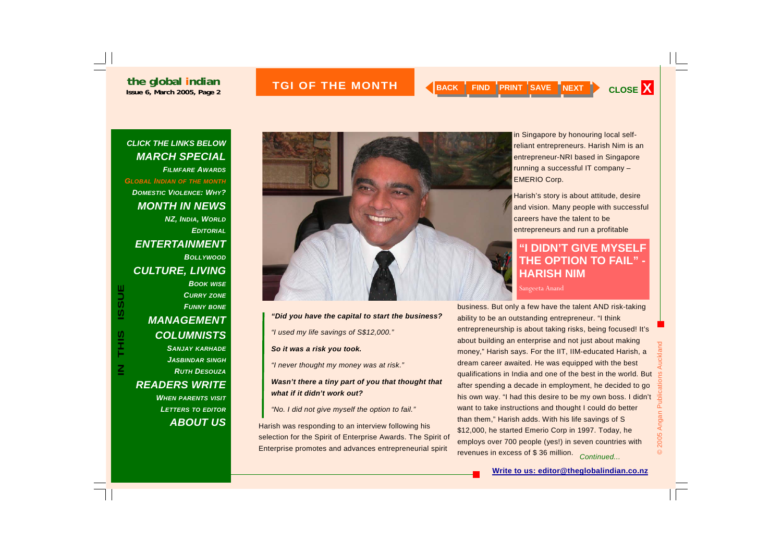# **ISSUE THE MONTH A RACK FIND PRINT SAVE NEXT CLOSE X**

#### <span id="page-1-0"></span>*CLICK THE LINKS BELOW [MARCH SPECIAL](#page-0-0)  FILMFARE AWARDSGLOBAL INDIAN OF THE MONTH [DOMESTIC VIOLENCE: WHY?](#page-3-0) [MONTH IN NEWS](#page-4-0)  NZ, INDIA, WORLD [EDITORIAL](#page-5-0)[ENTERTAINMENT](#page-6-0) BOLLYWOOD[CULTURE, LIVING](#page-7-0)  BOOK WISE [CURRY](#page-8-0) ZONE [FUNNY](#page-9-0) BONE [MANAGEMENT](#page-10-0)  [COLUMNISTS](#page-11-0)*

**IN THIS ISSUE**

S<br>HH

 $\overline{\underline{\mathbf{z}}}$ 

**ISSUE** 

*SANJAY KARHADE [JASBINDAR](#page-12-0) SINGH [RUTH DESOUZA](#page-13-0)[READERS WRITE](#page-14-0)  WHEN PARENTS VISIT [LETTERS](#page-15-0) TO EDITOR [ABOUT US](#page-16-0)*



#### *"Did you have the capital to start the business?*

*"I used my life savings of S\$12,000."* 

*So it was a risk you took.* 

*"I never thought my money was at risk."* 

#### *Wasn't there a tiny part of you that thought that what if it didn't work out?*

*"No. I did not give myself the option to fail."* 

Harish was responding to an interview following his selection for the Spirit of Enterprise Awards. The Spirit of Enterprise promotes and advances entrepreneurial spirit

in Singapore by honouring local selfreliant entrepreneurs. Harish Nim is an entrepreneur-NRI based in Singapore running a successful IT company – EMERIO Corp.

Harish's story is about attitude, desire and vision. Many people with successful careers have the talent to be entrepreneurs and run a profitable

#### **"I DIDN'T GIVE MYSELF THE OPTION TO FAIL" - HARISH NIM**

Sangeeta Anand

business. But only a few have the talent AND risk-taking ability to be an outstanding entrepreneur. "I think entrepreneurship is about taking risks, being focused! It's about building an enterprise and not just about making money," Harish says. For the IIT, IIM-educated Harish, a dream career awaited. He was equipped with the best qualifications in India and one of the best in the world. But after spending a decade in employment, he decided to go his own way. "I had this desire to be my own boss. I didn't want to take instructions and thought I could do better than them," Harish adds. With his life savings of S \$12,000, he started Emerio Corp in 1997. Today, he employs over 700 people (yes!) in seven countries with revenues in excess of \$ 36 million. *Continued...*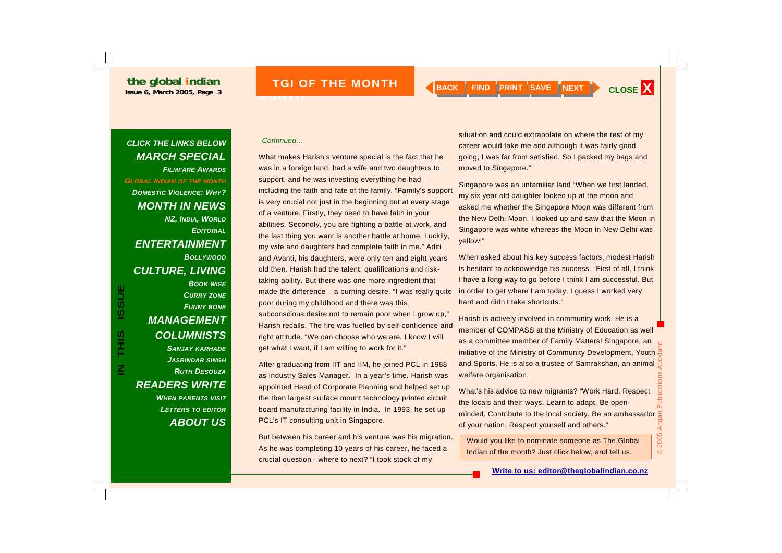**TGI OF THE MONTH** 

**MONTH** 

 $\overline{\underline{\mathbf{z}}}$ 

#### *FILMFARE AWARDS[GLOBAL INDIAN](#page-1-0) OF THE MONTH [DOMESTIC VIOLENCE: WHY?](#page-3-0) [MONTH IN NEWS](#page-4-0)  NZ, INDIA, WORLD [EDITORIAL](#page-5-0)[ENTERTAINMENT](#page-6-0) BOLLYWOOD[CULTURE, LIVING](#page-7-0)*

*[MARCH SPECIAL](#page-0-0)* 

*BOOK WISE [CURRY](#page-8-0) ZONE [FUNNY](#page-9-0) BONE [MANAGEMENT](#page-10-0)  [COLUMNISTS](#page-11-0)* 

*SANJAY KARHADE [JASBINDAR](#page-12-0) SINGH [RUTH DESOUZA](#page-13-0)[READERS WRITE](#page-14-0)  WHEN PARENTS VISIT [LETTERS](#page-15-0) TO EDITOR [ABOUT US](#page-16-0)*

#### *Continued... CLICK THE LINKS BELOW*

What makes Harish's venture special is the fact that he was in a foreign land, had a wife and two daughters to support, and he was investing everything he had – including the faith and fate of the family. "Family's support is very crucial not just in the beginning but at every stage of a venture. Firstly, they need to have faith in your abilities. Secondly, you are fighting a battle at work, and the last thing you want is another battle at home. Luckily, my wife and daughters had complete faith in me." Aditi and Avanti, his daughters, were only ten and eight years old then. Harish had the talent, qualifications and risktaking ability. But there was one more ingredient that made the difference – a burning desire. "I was really quite poor during my childhood and there was this subconscious desire not to remain poor when I grow up," Harish recalls. The fire was fuelled by self-confidence and right attitude. "We can choose who we are. I know I will get what I want, if I am willing to work for it."

After graduating from IIT and IIM, he joined PCL in 1988 as Industry Sales Manager. In a year's time, Harish was appointed Head of Corporate Planning and helped set up the then largest surface mount technology printed circuit board manufacturing facility in India. In 1993, he set up PCL's IT consulting unit in Singapore.

But between his career and his venture was his migration. As he was completing 10 years of his career, he faced a crucial question - where to next? "I took stock of my

situation and could extrapolate on where the rest of my career would take me and although it was fairly good going, I was far from satisfied. So I packed my bags and moved to Singapore."

Singapore was an unfamiliar land "When we first landed, my six year old daughter looked up at the moon and asked me whether the Singapore Moon was different from the New Delhi Moon. I looked up and saw that the Moon in Singapore was white whereas the Moon in New Delhi was yellow!"

When asked about his key success factors, modest Harish is hesitant to acknowledge his success. "First of all, I think I have a long way to go before I think I am successful. But in order to get where I am today, I guess I worked very hard and didn't take shortcuts."

Harish is actively involved in community work. He is a member of COMPASS at the Ministry of Education as well as a committee member of Family Matters! Singapore, an initiative of the Ministry of Community Development, Youth  $\frac{\pi}{2}$ and Sports. He is also a trustee of Samrakshan, an animal welfare organisation.

What's his advice to new migrants? "Work Hard. Respect the locals and their ways. Learn to adapt. Be openminded. Contribute to the local society. Be an ambassador  $\frac{6}{5}$ <br>of your nation. Respect yourself and others." of your nation. Respect yourself and others."

Would you like to nominate someone as The Global Indian of the month? Just click below, and tell us.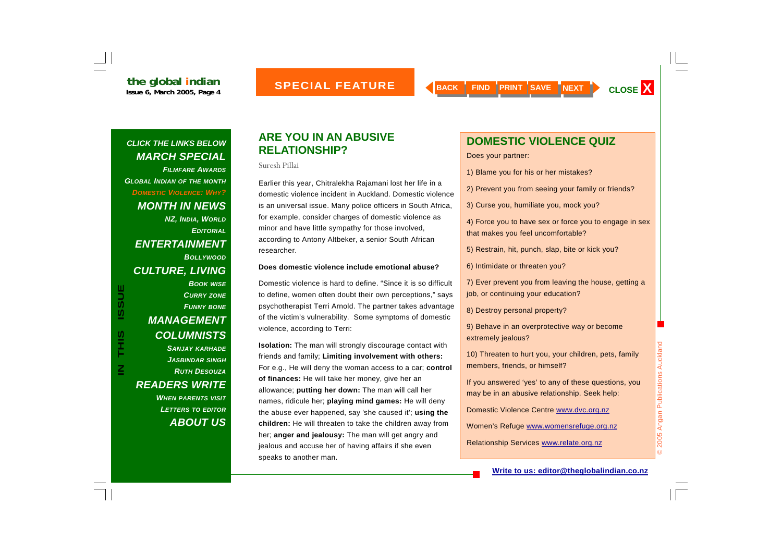#### <span id="page-3-0"></span>*CLICK THE LINKS BELOW [MARCH SPECIAL](#page-0-0)  FILMFARE AWARDS[GLOBAL INDIAN](#page-1-0) OF THE MONTH DOMESTIC VIOLENCE: WHY? [MONTH IN NEWS](#page-4-0)  NZ, INDIA, WORLD [EDITORIAL](#page-5-0)[ENTERTAINMENT](#page-6-0) BOLLYWOOD[CULTURE, LIVING](#page-7-0)  BOOK WISE* **ISSUE IN THIS ISSUE***[CURRY](#page-8-0) ZONE [FUNNY](#page-9-0) BONE [MANAGEMENT](#page-10-0)*  **SIHL** *[COLUMNISTS](#page-11-0)  SANJAY KARHADE [JASBINDAR](#page-12-0) SINGH*

*[RUTH DESOUZA](#page-13-0)*

*[READERS WRITE](#page-14-0)* 

 $\overline{\underline{\mathbf{z}}}$ 

*WHEN PARENTS VISIT [LETTERS](#page-15-0) TO EDITOR*

*[ABOUT US](#page-16-0)*

#### **ARE YOU IN AN ABUSIVE RELATIONSHIP?**

Suresh Pillai

Earlier this year, Chitralekha Rajamani lost her life in a domestic violence incident in Auckland. Domestic violence is an universal issue. Many police officers in South Africa, for example, consider charges of domestic violence as minor and have little sympathy for those involved, according to Antony Altbeker, a senior South African researcher.

#### **Does domestic violence include emotional abuse?**

Domestic violence is hard to define. "Since it is so difficult to define, women often doubt their own perceptions," says psychotherapist Terri Arnold. The partner takes advantage of the victim's vulnerability. Some symptoms of domestic violence, according to Terri:

**Isolation:** The man will strongly discourage contact with friends and family; **Limiting involvement with others:**  For e.g., He will deny the woman access to a car; **control of finances:** He will take her money, give her an allowance; **putting her down:** The man will call her names, ridicule her; **playing mind games:** He will deny the abuse ever happened, say 'she caused it'; **using the children:** He will threaten to take the children away from her; **anger and jealousy:** The man will get angry and jealous and accuse her of having affairs if she even speaks to another man.

# **DOMESTIC VIOLENCE QUIZ**

Does your partner:

- 1) Blame you for his or her mistakes?
- 2) Prevent you from seeing your family or friends?

3) Curse you, humiliate you, mock you?

4) Force you to have sex or force you to engage in sex that makes you feel uncomfortable?

5) Restrain, hit, punch, slap, bite or kick you?

6) Intimidate or threaten you?

7) Ever prevent you from leaving the house, getting a job, or continuing your education?

8) Destroy personal property?

9) Behave in an overprotective way or become extremely jealous?

10) Threaten to hurt you, your children, pets, family members, friends, or himself?

If you answered 'yes' to any of these questions, you may be in an abusive relationship. Seek help:

Domestic Violence Centre www.dvc.org.nz

Women's Refuge www.womensrefuge.org.nz

Relationship Services www.relate.org.nz

#### **Write to us: editor@theglobalindian.co.nz**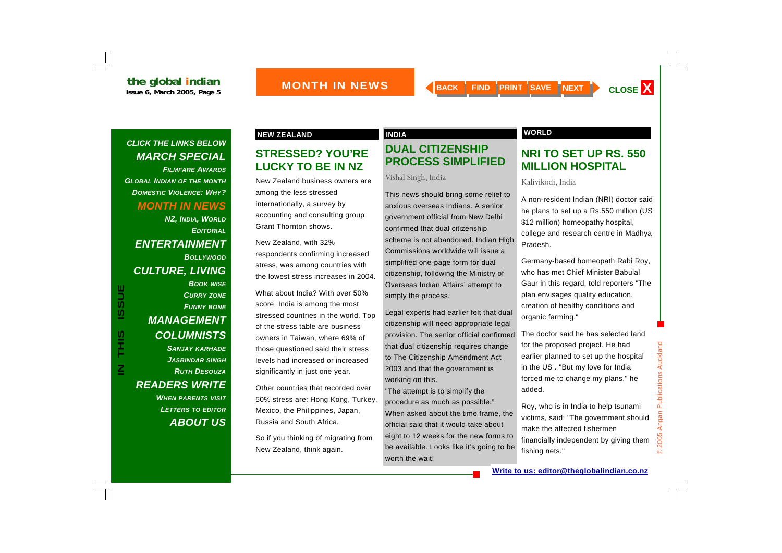<span id="page-4-0"></span>*FILMFARE AWARDS[GLOBAL INDIAN](#page-1-0) OF THE MONTH [DOMESTIC VIOLENCE: WHY?](#page-3-0) MONTH IN NEWS* 

*NZ, INDIA, WORLD [EDITORIAL](#page-5-0)[ENTERTAINMENT](#page-6-0) BOLLYWOOD[CULTURE, LIVING](#page-7-0)  BOOK WISE [CURRY](#page-8-0) ZONE [FUNNY](#page-9-0) BONE [MANAGEMENT](#page-10-0)  [COLUMNISTS](#page-11-0)  SANJAY KARHADE*

> *[JASBINDAR](#page-12-0) SINGH [RUTH DESOUZA](#page-13-0)*

*WHEN PARENTS VISIT [LETTERS](#page-15-0) TO EDITOR*

*[ABOUT US](#page-16-0)*

*[READERS WRITE](#page-14-0)* 

**IN THIS ISSUE**

S<br>HH

 $\overline{\underline{\mathsf{z}}}$ 

**ISSUE** 

# **STRESSED? YOU'RE LUCKY TO BE IN NZ**

New Zealand business owners are among the less stressed internationally, a survey by accounting and consulting group Grant Thornton shows.

New Zealand, with 32% respondents confirming increased stress, was among countries with the lowest stress increases in 2004.

What about India? With over 50% score, India is among the most stressed countries in the world. Top of the stress table are business owners in Taiwan, where 69% of those questioned said their stress levels had increased or increased significantly in just one year.

Other countries that recorded over 50% stress are: Hong Kong, Turkey, Mexico, the Philippines, Japan, Russia and South Africa.

So if you thinking of migrating from New Zealand, think again.

# **DUAL CITIZENSHIP PROCESS SIMPLIFIED**

Vishal Singh, India

This news should bring some relief to anxious overseas Indians. A senior government official from New Delhi confirmed that dual citizenship scheme is not abandoned. Indian High Commissions worldwide will issue a simplified one-page form for dual citizenship, following the Ministry of Overseas Indian Affairs' attempt to simply the process.

Legal experts had earlier felt that dual citizenship will need appropriate legal provision. The senior official confirmed that dual citizenship requires change to The Citizenship Amendment Act 2003 and that the government is working on this.

"The attempt is to simplify the procedure as much as possible." When asked about the time frame, the official said that it would take about eight to 12 weeks for the new forms to be available. Looks like it's going to be worth the wait!

#### **NEW ZEALAND CONSUMING A REAL PROPERTY AND A REAL PROPERTY OF A REAL PROPERTY OF A REAL PROPERTY OF A REAL PROPERTY OF A REAL PROPERTY OF A REAL PROPERTY OF A REAL PROPERTY OF A REAL PROPERTY OF A REAL PROPERTY OF A REAL P**

### **NRI TO SET UP RS. 550 MILLION HOSPITAL**

Kalivikodi, India

A non-resident Indian (NRI) doctor said he plans to set up a Rs.550 million (US \$12 million) homeopathy hospital, college and research centre in Madhya Pradesh.

Germany-based homeopath Rabi Roy, who has met Chief Minister Babulal Gaur in this regard, told reporters "The plan envisages quality education, creation of healthy conditions and organic farming."

The doctor said he has selected land for the proposed project. He had earlier planned to set up the hospital in the US . "But my love for India forced me to change my plans," he added.

Roy, who is in India to help tsunami victims, said: "The government should make the affected fishermen financially independent by giving them fishing nets."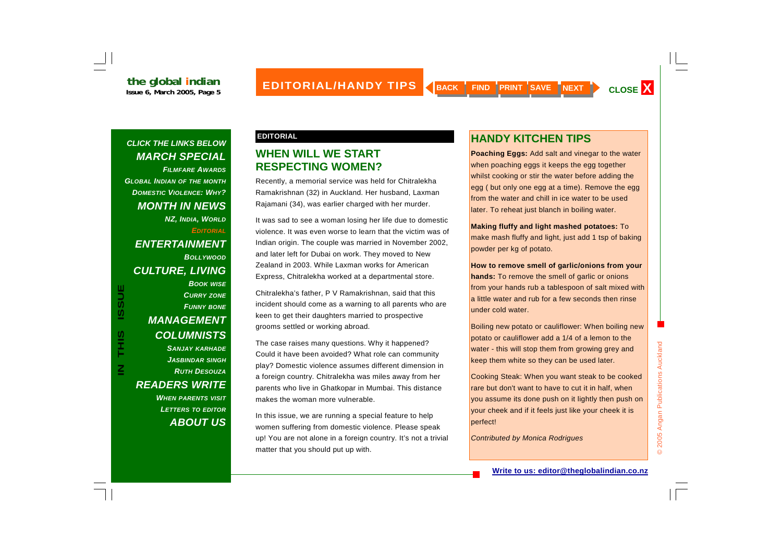<span id="page-5-0"></span>*FILMFARE AWARDS [GLOBAL INDIAN](#page-1-0) OF THE MONTH [DOMESTIC VIOLENCE: WHY?](#page-3-0) [MONTH IN NEWS](#page-4-0)  NZ, INDIA, WORLD EDITORIAL[ENTERTAINMENT](#page-6-0) BOLLYWOOD[CULTURE, LIVING](#page-7-0) BOOK WISE [CURRY](#page-8-0) ZONE [FUNNY](#page-9-0) BONE [MANAGEMENT](#page-10-0)  [COLUMNISTS](#page-11-0)  SANJAY KARHADE [JASBINDAR](#page-12-0) SINGH*

*[RUTH DESOUZA](#page-13-0)*

*[READERS WRITE](#page-14-0)* 

**IN THIS ISSUE**

S<br>HH

 $\mathbf{Z}$ 

**ISSUE** 

*WHEN PARENTS VISIT [LETTERS](#page-15-0) TO EDITOR*

*[ABOUT US](#page-16-0)*

#### **EDITORIAL**

### **WHEN WILL WE START RESPECTING WOMEN?**

Recently, a memorial service was held for Chitralekha Ramakrishnan (32) in Auckland. Her husband, Laxman Rajamani (34), was earlier charged with her murder.

It was sad to see a woman losing her life due to domestic violence. It was even worse to learn that the victim was of Indian origin. The couple was married in November 2002, and later left for Dubai on work. They moved to New Zealand in 2003. While Laxman works for American Express, Chitralekha worked at a departmental store.

Chitralekha's father, P V Ramakrishnan, said that this incident should come as a warning to all parents who are keen to get their daughters married to prospective grooms settled or working abroad.

The case raises many questions. Why it happened? Could it have been avoided? What role can community play? Domestic violence assumes different dimension in a foreign country. Chitralekha was miles away from her parents who live in Ghatkopar in Mumbai. This distance makes the woman more vulnerable.

In this issue, we are running a special feature to help women suffering from domestic violence. Please speak up! You are not alone in a foreign country. It's not a trivial matter that you should put up with.

# **HANDY KITCHEN TIPS**

**Poaching Eggs:** Add salt and vinegar to the water when poaching eggs it keeps the egg together whilst cooking or stir the water before adding the egg ( but only one egg at a time). Remove the egg from the water and chill in ice water to be used later. To reheat just blanch in boiling water.

**Making fluffy and light mashed potatoes:** To make mash fluffy and light, just add 1 tsp of baking powder per kg of potato.

**How to remove smell of garlic/onions from your hands:** To remove the smell of garlic or onions from your hands rub a tablespoon of salt mixed with a little water and rub for a few seconds then rinse under cold water.

Boiling new potato or cauliflower: When boiling new potato or cauliflower add a 1/4 of a lemon to the water - this will stop them from growing grey and keep them white so they can be used later.

Cooking Steak: When you want steak to be cooked rare but don't want to have to cut it in half, when you assume its done push on it lightly then push on your cheek and if it feels just like your cheek it is perfect!

*Contributed by Monica Rodrigues*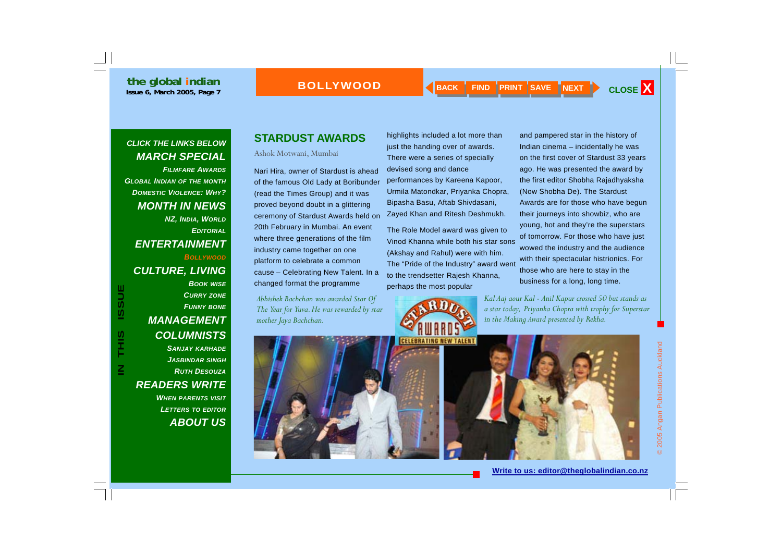<span id="page-6-0"></span>*FILMFARE AWARDS[GLOBAL INDIAN](#page-1-0) OF THE MONTH [DOMESTIC VIOLENCE: WHY?](#page-3-0) [MONTH IN NEWS](#page-4-0)  NZ, INDIA, WORLD [EDITORIAL](#page-5-0)*

*BOLLYWOOD*

# *[CULTURE, LIVING](#page-7-0)*

*ENTERTAINMENT* 

*BOOK WISE [CURRY](#page-8-0) ZONE [FUNNY](#page-9-0) BONE [MANAGEMENT](#page-10-0)* 

# *[COLUMNISTS](#page-11-0)*

*SANJAY KARHADE [JASBINDAR](#page-12-0) SINGH [RUTH DESOUZA](#page-13-0)[READERS WRITE](#page-14-0)  WHEN PARENTS VISIT [LETTERS](#page-15-0) TO EDITOR [ABOUT US](#page-16-0)*

# **STARDUST AWARDS**

Ashok Motwani, Mumbai

Nari Hira, owner of Stardust is ahead of the famous Old Lady at Boribunder (read the Times Group) and it was proved beyond doubt in a glittering ceremony of Stardust Awards held on 20th February in Mumbai. An event where three generations of the film industry came together on one platform to celebrate a common cause – Celebrating New Talent. In a changed format the programme

highlights included a lot more than just the handing over of awards. There were a series of specially devised song and dance performances by Kareena Kapoor, Urmila Matondkar, Priyanka Chopra, Bipasha Basu, Aftab Shivdasani, Zayed Khan and Ritesh Deshmukh.

The Role Model award was given to Vinod Khanna while both his star sons (Akshay and Rahul) were with him. The "Pride of the Industry" award went to the trendsetter Rajesh Khanna, perhaps the most popular



and pampered star in the history of Indian cinema – incidentally he was on the first cover of Stardust 33 years ago. He was presented the award by the first editor Shobha Rajadhyaksha (Now Shobha De). The Stardust Awards are for those who have begun their journeys into showbiz, who are young, hot and they're the superstars of tomorrow. For those who have just wowed the industry and the audience with their spectacular histrionics. For those who are here to stay in the business for a long, long time.



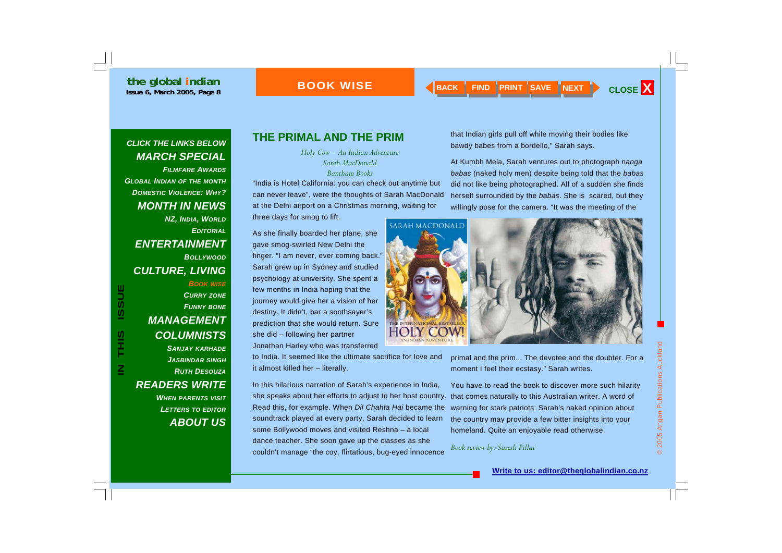### **BOOK WISE**

#### <span id="page-7-0"></span>*CLICK THE LINKS BELOW [MARCH SPECIAL](#page-0-0)*

*FILMFARE AWARDS[GLOBAL INDIAN](#page-1-0) OF THE MONTH [DOMESTIC VIOLENCE: WHY?](#page-3-0) [MONTH IN NEWS](#page-4-0)  NZ, INDIA, WORLD [EDITORIAL](#page-5-0)[ENTERTAINMENT](#page-6-0) BOLLYWOODCULTURE, LIVING BOOK WISE [CURRY](#page-8-0) ZONE [FUNNY](#page-9-0) BONE [MANAGEMENT](#page-10-0)  [COLUMNISTS](#page-11-0)* 

**IN THIS ISSUE**

**SIHL** 

 $\overline{\underline{z}}$ 

**ISSUE** 

*SANJAY KARHADE [JASBINDAR](#page-12-0) SINGH [RUTH DESOUZA](#page-13-0)[READERS WRITE](#page-14-0)  WHEN PARENTS VISIT [LETTERS](#page-15-0) TO EDITOR*

*[ABOUT US](#page-16-0)*

### **THE PRIMAL AND THE PRIM**

*Holy Cow – An Indian Adventure Sarah MacDonald Bantham Books* 

"India is Hotel California: you can check out anytime but can never leave", were the thoughts of Sarah MacDonald at the Delhi airport on a Christmas morning, waiting for three days for smog to lift.

As she finally boarded her plane, she gave smog-swirled New Delhi the finger. "I am never, ever coming back." Sarah grew up in Sydney and studied psychology at university. She spent a few months in India hoping that the journey would give her a vision of her destiny. It didn't, bar a soothsayer's prediction that she would return. Sure she did – following her partner Jonathan Harley who was transferred

to India. It seemed like the ultimate sacrifice for love and it almost killed her – literally.

In this hilarious narration of Sarah's experience in India, she speaks about her efforts to adjust to her host country. that comes naturally to this Australian writer. A word of Read this, for example. When *Dil Chahta Hai* became the soundtrack played at every party, Sarah decided to learn some Bollywood moves and visited Reshna – a local dance teacher. She soon gave up the classes as she couldn't manage "the coy, flirtatious, bug-eyed innocence

that Indian girls pull off while moving their bodies like bawdy babes from a bordello," Sarah says.

At Kumbh Mela, Sarah ventures out to photograph n*anga babas* (naked holy men) despite being told that the *babas*  did not like being photographed. All of a sudden she finds herself surrounded by the *babas*. She is scared, but they willingly pose for the camera. "It was the meeting of the



primal and the prim... The devotee and the doubter. For a moment I feel their ecstasy." Sarah writes.

You have to read the book to discover more such hilarity warning for stark patriots: Sarah's naked opinion about the country may provide a few bitter insights into your homeland. Quite an enjoyable read otherwise.

*Book review by: Suresh Pillai*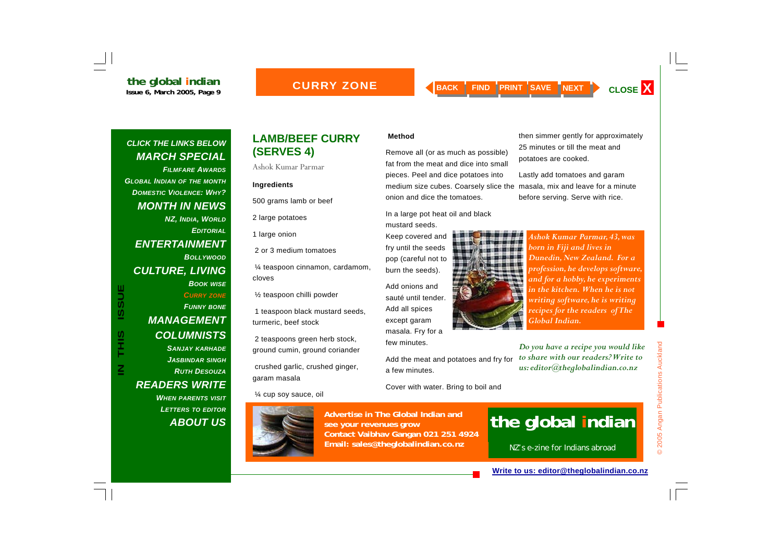#### **CURRY ZONE**

#### <span id="page-8-0"></span>*CLICK THE LINKS BELOW [MARCH SPECIAL](#page-0-0)*

*FILMFARE AWARDS[GLOBAL INDIAN](#page-1-0) OF THE MONTH [DOMESTIC VIOLENCE: WHY?](#page-3-0) [MONTH IN NEWS](#page-4-0)  NZ, INDIA, WORLD [EDITORIAL](#page-5-0)[ENTERTAINMENT](#page-6-0) BOLLYWOOD[CULTURE, LIVING](#page-7-0)  BOOK WISE CURRY ZONE [FUNNY](#page-9-0) BONE [MANAGEMENT](#page-10-0)* 

**IN THIS ISSUE**

S<br>HH

 $\overline{\underline{\mathbf{z}}}$ 

**ISSUE** 

# *[READERS WRITE](#page-14-0)*

*WHEN PARENTS VISIT [LETTERS](#page-15-0) TO EDITOR [ABOUT US](#page-16-0)*

#### **LAMB/BEEF CURRY (SERVES 4)**

Ashok Kumar Parmar

#### **Ingredients**

500 grams lamb or beef

2 large potatoes

1 large onion

2 or 3 medium tomatoes

 ¼ teaspoon cinnamon, cardamom, cloves

½ teaspoon chilli powder

 1 teaspoon black mustard seeds, turmeric, beef stock

 2 teaspoons green herb stock, ground cumin, ground coriander

 crushed garlic, crushed ginger, garam masala

¼ cup soy sauce, oil



**Advertise in The Global Indian and see your revenues grow Contact Vaibhav Gangan 021 251 4924 Email: sales@theglobalindian.co.nz**

#### **Method**

Remove all (or as much as possible) fat from the meat and dice into small pieces. Peel and dice potatoes into medium size cubes. Coarsely slice the masala, mix and leave for a minute onion and dice the tomatoes.

In a large pot heat oil and black

mustard seeds. Keep covered and fry until the seeds pop (careful not to

burn the seeds).

Add onions and sauté until tender. Add all spices except garam masala. Fry for a few minutes.

Add the meat and potatoes and fry for a few minutes.

Cover with water. Bring to boil and



then simmer gently for approximately 25 minutes or till the meat and potatoes are cooked.

Lastly add tomatoes and garam before serving. Serve with rice.

> *Ashok Kumar Parmar, 43, was born in Fiji and lives in Dunedin, New Zealand. For a profession, he develops software, and for a hobby, he experiments in the kitchen. When he is not writing software, he is writing recipes for the readers of The Global Indian.*

*Do you have a recipe you would like to share with our readers? Write to us: editor@theglobalindian.co.nz* 

# **the global indian**

NZ's e-zine for Indians abroad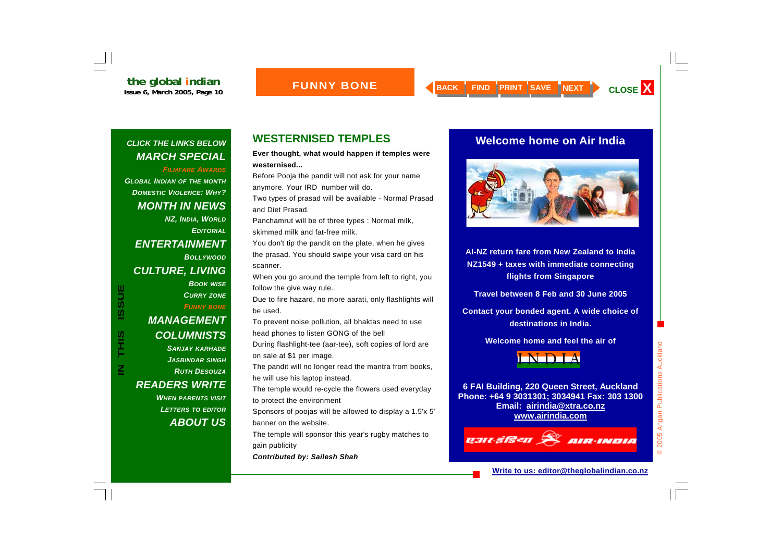<span id="page-9-0"></span>*FILMFARE AWARDS*

*[GLOBAL INDIAN](#page-1-0) OF THE MONTH [DOMESTIC VIOLENCE: WHY?](#page-3-0) [MONTH IN NEWS](#page-4-0)  NZ, INDIA, WORLD [EDITORIAL](#page-5-0)[ENTERTAINMENT](#page-6-0) BOLLYWOOD[CULTURE, LIVING](#page-7-0)  BOOK WISE [CURRY](#page-8-0) ZONE FUNNY BONE [MANAGEMENT](#page-10-0)  [COLUMNISTS](#page-11-0)  SANJAY KARHADE [JASBINDAR](#page-12-0) SINGH [RUTH DESOUZA](#page-13-0)*

*[READERS WRITE](#page-14-0)* 

*WHEN PARENTS VISIT [LETTERS](#page-15-0) TO EDITOR [ABOUT US](#page-16-0)*

# **WESTERNISED TEMPLES**

**Ever thought, what would happen if temples were westernised...**

Before Pooja the pandit will not ask for your name anymore. Your IRD number will do.

Two types of prasad will be available - Normal Prasad and Diet Prasad.

Panchamrut will be of three types : Normal milk, skimmed milk and fat-free milk.

You don't tip the pandit on the plate, when he gives the prasad. You should swipe your visa card on his scanner.

When you go around the temple from left to right, you follow the give way rule.

Due to fire hazard, no more aarati, only flashlights will be used.

To prevent noise pollution, all bhaktas need to use head phones to listen GONG of the bell

During flashlight-tee (aar-tee), soft copies of lord are on sale at \$1 per image.

The pandit will no longer read the mantra from books, he will use his laptop instead.

The temple would re-cycle the flowers used everyday to protect the environment

Sponsors of poojas will be allowed to display a 1.5'x 5' banner on the website.

The temple will sponsor this year's rugby matches to gain publicity

*Contributed by: Sailesh Shah*

### **Welcome home on Air India**



**AI-NZ return fare from New Zealand to India NZ1549 + taxes with immediate connecting flights from Singapore** 

**Travel between 8 Feb and 30 June 2005** 

**Contact your bonded agent. A wide choice of destinations in India.** 

**Welcome home and feel the air of** 



**6 FAI Building, 220 Queen Street, Auckland Phone: +64 9 3031301; 3034941 Fax: 303 1300 Email: airindia@xtra.co.nz www.airindia.com**



**Write to us: editor@theglobalindian.co.nz**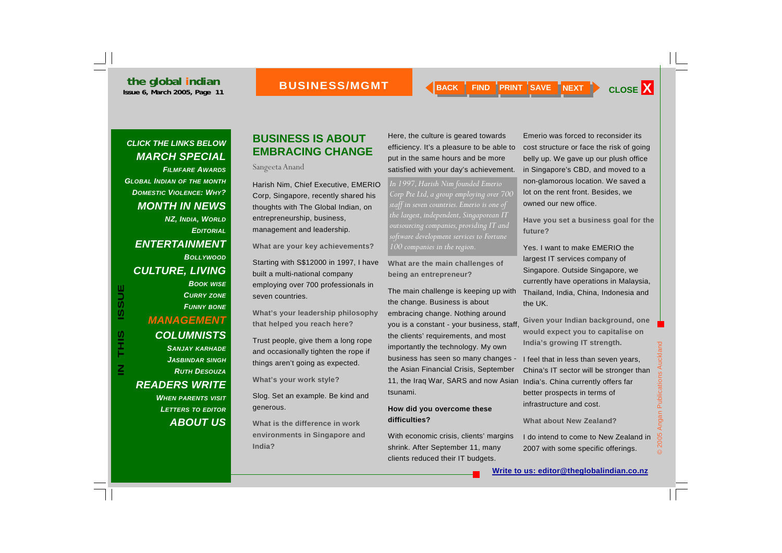*FILMFARE AWARDS[GLOBAL INDIAN](#page-1-0) OF THE MONTH [DOMESTIC VIOLENCE: WHY?](#page-3-0) [MONTH IN NEWS](#page-4-0)  NZ, INDIA, WORLD [EDITORIAL](#page-5-0)[ENTERTAINMENT](#page-6-0) BOLLYWOOD[CULTURE, LIVING](#page-7-0)  BOOK WISE [CURRY](#page-8-0) ZONE [FUNNY](#page-9-0) BONE MANAGEMENT [COLUMNISTS](#page-11-0)  SANJAY KARHADE*

> *[JASBINDAR](#page-12-0) SINGH [RUTH DESOUZA](#page-13-0)*

*WHEN PARENTS VISIT [LETTERS](#page-15-0) TO EDITOR*

*[ABOUT US](#page-16-0)*

*[READERS WRITE](#page-14-0)* 

### <span id="page-10-0"></span>**BUSINESS IS ABOUT EMBRACING CHANGE**

Sangeeta Anand

Harish Nim, Chief Executive, EMERIO Corp, Singapore, recently shared his thoughts with The Global Indian, on entrepreneurship, business, management and leadership.

**What are your key achievements?** 

Starting with S\$12000 in 1997, I have built a multi-national company employing over 700 professionals in seven countries.

**What's your leadership philosophy that helped you reach here?** 

Trust people, give them a long rope and occasionally tighten the rope if things aren't going as expected.

**What's your work style?** 

Slog. Set an example. Be kind and generous.

**What is the difference in work environments in Singapore and India?** 

Here, the culture is geared towards efficiency. It's a pleasure to be able to put in the same hours and be more satisfied with your day's achievement.

*In 1997, Harish Nim founded Emerio Corp Pte Ltd, a group employing over 700 staff in seven countries. Emerio is one of the largest, independent, Singaporean IT outsourcing companies, providing IT and software development services to Fortune 100 companies in the region.* 

**What are the main challenges of being an entrepreneur?** 

The main challenge is keeping up with the change. Business is about embracing change. Nothing around you is a constant - your business, staff, the clients' requirements, and most importantly the technology. My own business has seen so many changes the Asian Financial Crisis, September 11, the Iraq War, SARS and now Asian tsunami.

#### **How did you overcome these difficulties?**

With economic crisis, clients' margins shrink. After September 11, many clients reduced their IT budgets.

Emerio was forced to reconsider its cost structure or face the risk of going belly up. We gave up our plush office in Singapore's CBD, and moved to a non-glamorous location. We saved a lot on the rent front. Besides, we owned our new office.

**Have you set a business goal for the future?** 

Yes. I want to make EMERIO the largest IT services company of Singapore. Outside Singapore, we currently have operations in Malaysia, Thailand, India, China, Indonesia and the UK.

**Given your Indian background, one would expect you to capitalise on India's growing IT strength.** 

I feel that in less than seven years, China's IT sector will be stronger than India's. China currently offers far better prospects in terms of infrastructure and cost.

**What about New Zealand?** 

I do intend to come to New Zealand in 2007 with some specific offerings.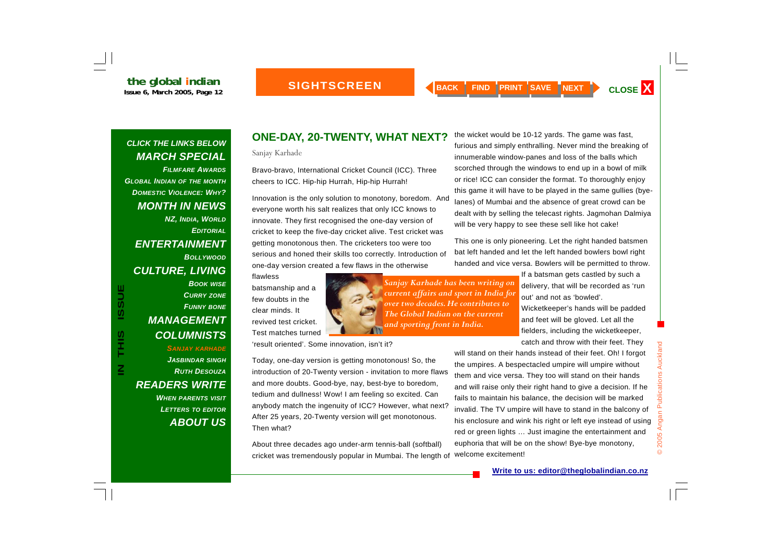#### **SIGHTSCREEN**

#### <span id="page-11-0"></span>*CLICK THE LINKS BELOW [MARCH SPECIAL](#page-0-0)*

*FILMFARE AWARDS[GLOBAL INDIAN](#page-1-0) OF THE MONTH [DOMESTIC VIOLENCE: WHY?](#page-3-0) [MONTH IN NEWS](#page-4-0)  NZ, INDIA, WORLD [EDITORIAL](#page-5-0)[ENTERTAINMENT](#page-6-0) BOLLYWOOD[CULTURE, LIVING](#page-7-0)  BOOK WISE [CURRY](#page-8-0) ZONE [FUNNY](#page-9-0) BONE [MANAGEMENT](#page-10-0)  COLUMNISTS SANJAY KARHADE*

**IN THIS ISSUE**

S<br>HH

 $\overline{\underline{\mathbf{z}}}$ 

**ISSUE** 

*[JASBINDAR](#page-12-0) SINGH [RUTH DESOUZA](#page-13-0)[READERS WRITE](#page-14-0)  WHEN PARENTS VISIT [LETTERS](#page-15-0) TO EDITOR [ABOUT US](#page-16-0)*

#### **ONE-DAY, 20-TWENTY, WHAT NEXT?**

Sanjay Karhade

Bravo-bravo, International Cricket Council (ICC). Three cheers to ICC. Hip-hip Hurrah, Hip-hip Hurrah!

Innovation is the only solution to monotony, boredom. And everyone worth his salt realizes that only ICC knows to innovate. They first recognised the one-day version of cricket to keep the five-day cricket alive. Test cricket was getting monotonous then. The cricketers too were too serious and honed their skills too correctly. Introduction of one-day version created a few flaws in the otherwise

flawless batsmanship and a few doubts in the clear minds. It revived test cricket. Test matches turned

*Sanjay Karhade has been writing on current affairs and sport in India for over two decades. He contributes to The Global Indian on the current and sporting front in India.* 

the wicket would be 10-12 yards. The game was fast, furious and simply enthralling. Never mind the breaking of innumerable window-panes and loss of the balls which scorched through the windows to end up in a bowl of milk or rice! ICC can consider the format. To thoroughly enjoy this game it will have to be played in the same gullies (byelanes) of Mumbai and the absence of great crowd can be dealt with by selling the telecast rights. Jagmohan Dalmiya will be very happy to see these sell like hot cake!

This one is only pioneering. Let the right handed batsmen bat left handed and let the left handed bowlers bowl right handed and vice versa. Bowlers will be permitted to throw.

> If a batsman gets castled by such a delivery, that will be recorded as 'run out' and not as 'bowled'.

> Wicketkeeper's hands will be padded and feet will be gloved. Let all the fielders, including the wicketkeeper, catch and throw with their feet. They

will stand on their hands instead of their feet. Oh! I forgot the umpires. A bespectacled umpire will umpire without them and vice versa. They too will stand on their hands and will raise only their right hand to give a decision. If he fails to maintain his balance, the decision will be marked invalid. The TV umpire will have to stand in the balcony of his enclosure and wink his right or left eye instead of using red or green lights … Just imagine the entertainment and euphoria that will be on the show! Bye-bye monotony, welcome excitement!

Today, one-day version is getting monotonous! So, the

introduction of 20-Twenty version - invitation to more flaws and more doubts. Good-bye, nay, best-bye to boredom, tedium and dullness! Wow! I am feeling so excited. Can anybody match the ingenuity of ICC? However, what next? After 25 years, 20-Twenty version will get monotonous. Then what?

'result oriented'. Some innovation, isn't it?

About three decades ago under-arm tennis-ball (softball) cricket was tremendously popular in Mumbai. The length of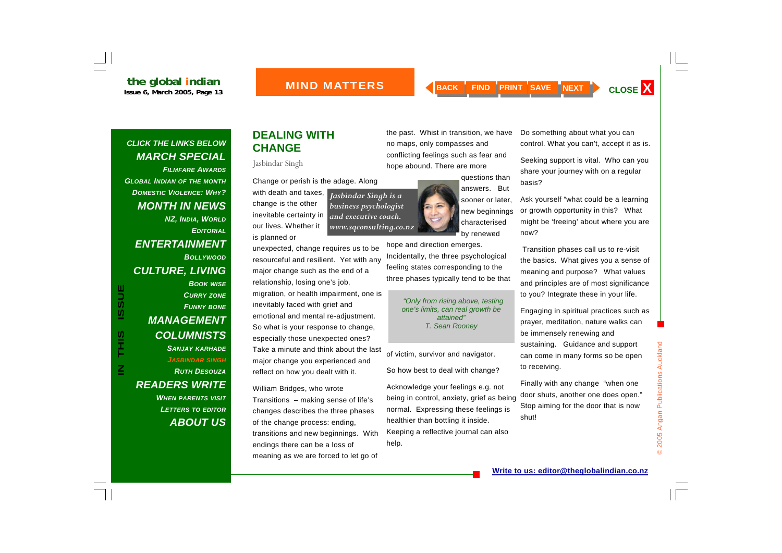#### **MIND MATTERS**

#### <span id="page-12-0"></span>*CLICK THE LINKS BELOW [MARCH SPECIAL](#page-0-0)*

*FILMFARE AWARDS[GLOBAL INDIAN](#page-1-0) OF THE MONTH [DOMESTIC VIOLENCE: WHY?](#page-3-0) [MONTH IN NEWS](#page-4-0)  NZ, INDIA, WORLD [EDITORIAL](#page-5-0)[ENTERTAINMENT](#page-6-0) BOLLYWOOD[CULTURE, LIVING](#page-7-0)  BOOK WISE [CURRY](#page-8-0) ZONE [FUNNY](#page-9-0) BONE [MANAGEMENT](#page-10-0)  [COLUMNISTS](#page-11-0)  SANJAY KARHADE JASBINDAR SINGH [RUTH DESOUZA](#page-13-0)[READERS WRITE](#page-14-0)* 

**IN THIS ISSUE**

S<br>HH

 $\overline{\mathsf{z}}$ 

**ISSUE** 

*WHEN PARENTS VISIT [LETTERS](#page-15-0) TO EDITOR [ABOUT US](#page-16-0)*

# **DEALING WITH CHANGE**

Jasbindar Singh

is planned or

Change or perish is the adage. Along

with death and taxes, change is the other inevitable certainty in our lives. Whether it *Jasbindar Singh is a business psychologist and executive coach. www.sqconsulting.co.nz* 

unexpected, change requires us to be resourceful and resilient. Yet with any major change such as the end of a relationship, losing one's job,

migration, or health impairment, one is inevitably faced with grief and emotional and mental re-adjustment. So what is your response to change, especially those unexpected ones? Take a minute and think about the last major change you experienced and reflect on how you dealt with it.

William Bridges, who wrote

Transitions – making sense of life's changes describes the three phases of the change process: ending, transitions and new beginnings. With endings there can be a loss of meaning as we are forced to let go of

the past. Whist in transition, we have no maps, only compasses and conflicting feelings such as fear and hope abound. There are more

> questions than answers. But sooner or later, new beginnings characterised by renewed

Incidentally, the three psychological feeling states corresponding to the three phases typically tend to be that

> *"Only from rising above, testing one's limits, can real growth be attained" T. Sean Rooney*

of victim, survivor and navigator.

So how best to deal with change?

Acknowledge your feelings e.g. not being in control, anxiety, grief as being normal. Expressing these feelings is healthier than bottling it inside. Keeping a reflective journal can also help.

Do something about what you can control. What you can't, accept it as is.

Seeking support is vital. Who can you share your journey with on a regular basis?

Ask yourself "what could be a learning or growth opportunity in this? What might be 'freeing' about where you are now?

 Transition phases call us to re-visit the basics. What gives you a sense of meaning and purpose? What values and principles are of most significance to you? Integrate these in your life.

Engaging in spiritual practices such as prayer, meditation, nature walks can be immensely renewing and sustaining. Guidance and support can come in many forms so be open to receiving.

Finally with any change "when one door shuts, another one does open." Stop aiming for the door that is now shut!

hope and direction emerges.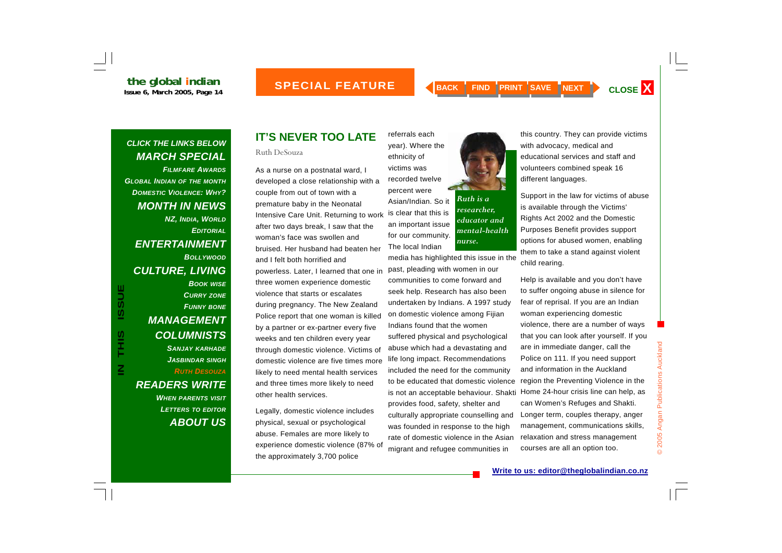#### **SPECIAL FEATURE**

#### <span id="page-13-0"></span>*CLICK THE LINKS BELOW [MARCH SPECIAL](#page-0-0)*

*FILMFARE AWARDS[GLOBAL INDIAN](#page-1-0) OF THE MONTH [DOMESTIC VIOLENCE: WHY?](#page-3-0) [MONTH IN NEWS](#page-4-0)  NZ, INDIA, WORLD [EDITORIAL](#page-5-0)[ENTERTAINMENT](#page-6-0) BOLLYWOOD[CULTURE, LIVING](#page-7-0)  BOOK WISE [CURRY](#page-8-0) ZONE [FUNNY](#page-9-0) BONE [MANAGEMENT](#page-10-0)  [COLUMNISTS](#page-11-0)  SANJAY KARHADE [JASBINDAR](#page-12-0) SINGH RUTH DESOUZA*

**IN THIS ISSUE**

S<br>HH

 $\overline{\mathsf{z}}$ 

**ISSUE** 

*[READERS WRITE](#page-14-0)  WHEN PARENTS VISIT [LETTERS](#page-15-0) TO EDITOR [ABOUT US](#page-16-0)*

# **IT'S NEVER TOO LATE**

Ruth DeSouza

As a nurse on a postnatal ward, I developed a close relationship with a couple from out of town with a premature baby in the Neonatal Intensive Care Unit. Returning to work after two days break, I saw that the woman's face was swollen and bruised. Her husband had beaten her and I felt both horrified and powerless. Later, I learned that one in three women experience domestic violence that starts or escalates during pregnancy. The New Zealand Police report that one woman is killed by a partner or ex-partner every five weeks and ten children every year through domestic violence. Victims of domestic violence are five times more likely to need mental health services and three times more likely to need other health services.

Legally, domestic violence includes physical, sexual or psychological abuse. Females are more likely to experience domestic violence (87% of the approximately 3,700 police

referrals each year). Where the ethnicity of victims was recorded twelve percent were Asian/Indian. So it is clear that this is an important issue for our community. The local Indian media has highlighted this issue in the

past, pleading with women in our communities to come forward and seek help. Research has also been undertaken by Indians. A 1997 study on domestic violence among Fijian Indians found that the women suffered physical and psychological abuse which had a devastating and life long impact. Recommendations included the need for the community to be educated that domestic violence provides food, safety, shelter and culturally appropriate counselling and was founded in response to the high rate of domestic violence in the Asian migrant and refugee communities in



*Ruth is a researcher, educator and mental-health nurse.* 

this country. They can provide victims with advocacy, medical and educational services and staff and volunteers combined speak 16 different languages.

Support in the law for victims of abuse is available through the Victims' Rights Act 2002 and the Domestic Purposes Benefit provides support options for abused women, enabling them to take a stand against violent child rearing.

is not an acceptable behaviour. Shakti Home 24-hour crisis line can help, as Help is available and you don't have to suffer ongoing abuse in silence for fear of reprisal. If you are an Indian woman experiencing domestic violence, there are a number of ways that you can look after yourself. If you are in immediate danger, call the Police on 111. If you need support and information in the Auckland region the Preventing Violence in the can Women's Refuges and Shakti. Longer term, couples therapy, anger management, communications skills, relaxation and stress management courses are all an option too.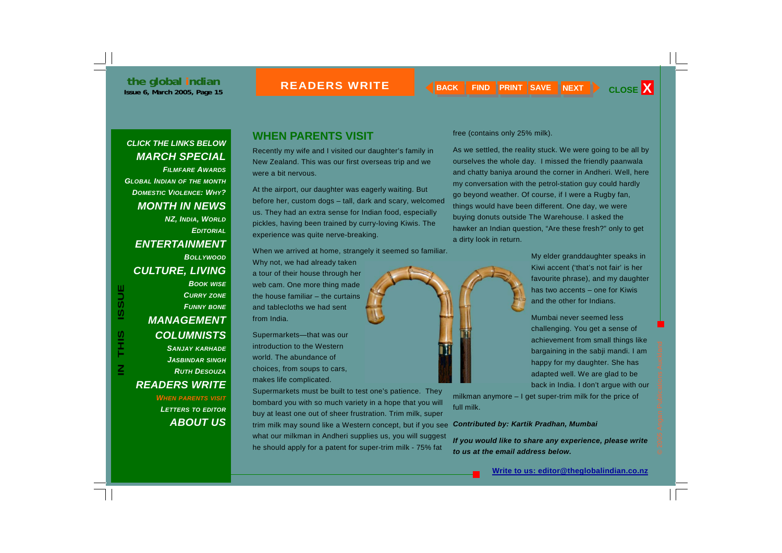#### **READERS W**

#### <span id="page-14-0"></span>*CLICK THE LINKS BELOW [MARCH SPECIAL](#page-0-0)*

*FILMFARE AWARDS[GLOBAL INDIAN](#page-1-0) OF THE MONTH [DOMESTIC VIOLENCE: WHY?](#page-3-0) [MONTH IN NEWS](#page-4-0)  NZ, INDIA, WORLD [EDITORIAL](#page-5-0)[ENTERTAINMENT](#page-6-0) BOLLYWOOD[CULTURE, LIVING](#page-7-0)  BOOK WISE [CURRY](#page-8-0) ZONE [FUNNY](#page-9-0) BONE [MANAGEMENT](#page-10-0)  [COLUMNISTS](#page-11-0)* 

**IN THIS ISSUE**

SIHL

 $\overline{\underline{\mathbf{z}}}$ 

**ISSUE** 

*SANJAY KARHADE [JASBINDAR](#page-12-0) SINGH [RUTH DESOUZA](#page-13-0)READERS WRITE* 

> *WHEN PARENTS VISIT [LETTERS](#page-15-0) TO EDITOR [ABOUT US](#page-16-0)*

#### **WHEN PARENTS VISIT**

Recently my wife and I visited our daughter's family in New Zealand. This was our first overseas trip and we were a bit nervous.

At the airport, our daughter was eagerly waiting. But before her, custom dogs – tall, dark and scary, welcomed us. They had an extra sense for Indian food, especially pickles, having been trained by curry-loving Kiwis. The experience was quite nerve-breaking.

When we arrived at home, strangely it seemed so familiar. Why not, we had already taken a tour of their house through her web cam. One more thing made the house familiar – the curtains and tablecloths we had sent from India.

Supermarkets—that was our introduction to the Western world. The abundance of choices, from soups to cars, makes life complicated.

Supermarkets must be built to test one's patience. They bombard you with so much variety in a hope that you will buy at least one out of sheer frustration. Trim milk, super trim milk may sound like a Western concept, but if you see what our milkman in Andheri supplies us, you will suggest he should apply for a patent for super-trim milk - 75% fat

free (contains only 25% milk).

As we settled, the reality stuck. We were going to be all by ourselves the whole day. I missed the friendly paanwala and chatty baniya around the corner in Andheri. Well, here my conversation with the petrol-station guy could hardly go beyond weather. Of course, if I were a Rugby fan, things would have been different. One day, we were buying donuts outside The Warehouse. I asked the hawker an Indian question, "Are these fresh?" only to get a dirty look in return.

> My elder granddaughter speaks in Kiwi accent ('that's not fair' is her favourite phrase), and my daughter has two accents – one for Kiwis and the other for Indians.

Mumbai never seemed less challenging. You get a sense of achievement from small things like bargaining in the sabji mandi. I am happy for my daughter. She has adapted well. We are glad to be back in India. I don't argue with our

milkman anymore – I get super-trim milk for the price of full milk.

#### *Contributed by: Kartik Pradhan, Mumbai*

*If you would like to share any experience, please write to us at the email address below.*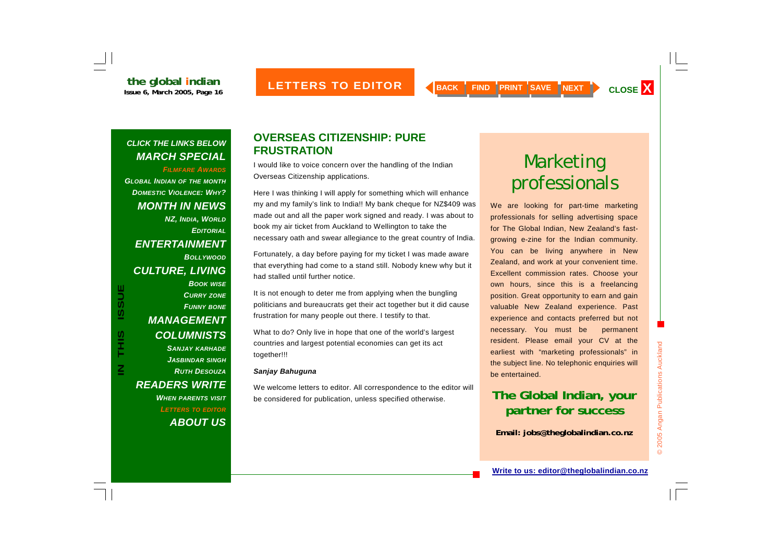<span id="page-15-0"></span>*FILMFARE AWARDS[GLOBAL](#page-1-0) [INDIAN](#page-1-0) OF THE MONTH [DOMESTIC VIOLENCE: WHY?](#page-3-0) [MONTH IN NEWS](#page-4-0)  NZ, INDIA, WORLD [EDITORIAL](#page-5-0)[ENTERTAINMENT](#page-6-0) BOLLYWOOD[CULTURE, LIVING](#page-7-0)  BOOK WISE [CURRY](#page-8-0) ZONE [FUNNY](#page-9-0) BONE [MANAGEMENT](#page-10-0)  [COLUMNISTS](#page-11-0)  SANJAY KARHADE [JASBINDAR](#page-12-0) SINGH [RUTH DESOUZA](#page-13-0)[READERS WRITE](#page-14-0)  WHEN PARENTS VISIT*

**IN THIS ISSUE**

S<br>HH

 $\overline{\underline{\mathbf{z}}}$ 

**ISSUE** 

*LETTERS TO EDITOR [ABOUT US](#page-16-0)*

#### **OVERSEAS CITIZENSHIP: PURE FRUSTRATION**

I would like to voice concern over the handling of the Indian Overseas Citizenship applications.

Here I was thinking I will apply for something which will enhance my and my family's link to India!! My bank cheque for NZ\$409 was made out and all the paper work signed and ready. I was about to book my air ticket from Auckland to Wellington to take the necessary oath and swear allegiance to the great country of India.

Fortunately, a day before paying for my ticket I was made aware that everything had come to a stand still. Nobody knew why but it had stalled until further notice.

It is not enough to deter me from applying when the bungling politicians and bureaucrats get their act together but it did cause frustration for many people out there. I testify to that.

What to do? Only live in hope that one of the world's largest countries and largest potential economies can get its act together!!!

#### *Sanjay Bahuguna*

We welcome letters to editor. All correspondence to the editor will be considered for publication, unless specified otherwise.

# Marketing professionals

We are looking for part-time marketing professionals for selling advertising space for The Global Indian, New Zealand's fastgrowing e-zine for the Indian community. You can be living anywhere in New Zealand, and work at your convenient time. Excellent commission rates. Choose your own hours, since this is a freelancing position. Great opportunity to earn and gain valuable New Zealand experience. Past experience and contacts preferred but not necessary. You must be permanent resident. Please email your CV at the earliest with "marketing professionals" in the subject line. No telephonic enquiries will be entertained.

# **The Global Indian, your partner for success**

**Email: jobs@theglobalindian.co.nz**